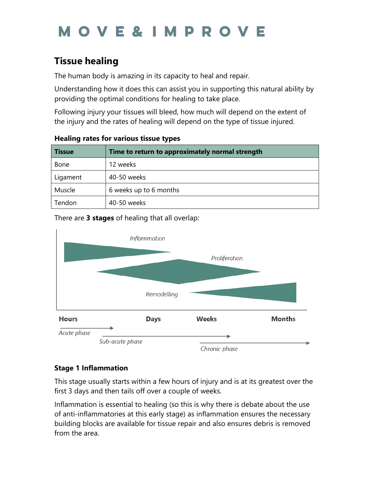# **MOVE&IMPROV**

## **Tissue healing**

The human body is amazing in its capacity to heal and repair.

Understanding how it does this can assist you in supporting this natural ability by providing the optimal conditions for healing to take place.

Following injury your tissues will bleed, how much will depend on the extent of the injury and the rates of healing will depend on the type of tissue injured.

| <b>Tissue</b> | Time to return to approximately normal strength |
|---------------|-------------------------------------------------|
| <b>Bone</b>   | 12 weeks                                        |
| Ligament      | 40-50 weeks                                     |
| Muscle        | 6 weeks up to 6 months                          |
| Tendon        | 40-50 weeks                                     |

#### **Healing rates for various tissue types**

There are **3 stages** of healing that all overlap:



### **Stage 1 Inflammation**

This stage usually starts within a few hours of injury and is at its greatest over the first 3 days and then tails off over a couple of weeks.

Inflammation is essential to healing (so this is why there is debate about the use of anti-inflammatories at this early stage) as inflammation ensures the necessary building blocks are available for tissue repair and also ensures debris is removed from the area.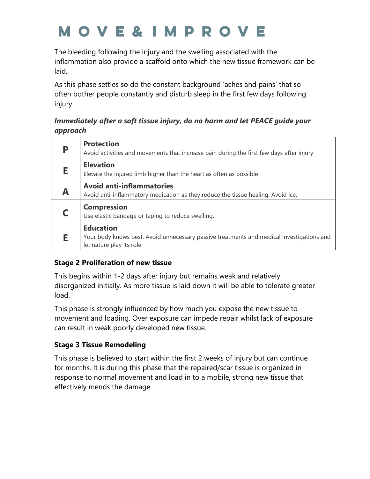# **MOVE&IMPROVE**

The bleeding following the injury and the swelling associated with the inflammation also provide a scaffold onto which the new tissue framework can be laid.

As this phase settles so do the constant background 'aches and pains' that so often bother people constantly and disturb sleep in the first few days following injury.

#### *Immediately after a soft tissue injury, do no harm and let PEACE guide your approach*

|   | <b>Protection</b><br>Avoid activities and movements that increase pain during the first few days after injury                              |
|---|--------------------------------------------------------------------------------------------------------------------------------------------|
| Ε | <b>Elevation</b><br>Elevate the injured limb higher than the heart as often as possible                                                    |
| A | <b>Avoid anti-inflammatories</b><br>Avoid anti-inflammatory medication as they reduce the tissue healing. Avoid ice.                       |
|   | <b>Compression</b><br>Use elastic bandage or taping to reduce swelling.                                                                    |
|   | <b>Education</b><br>Your body knows best. Avoid unnecessary passive treatments and medical investigations and<br>let nature play its role. |

### **Stage 2 Proliferation of new tissue**

This begins within 1-2 days after injury but remains weak and relatively disorganized initially. As more tissue is laid down it will be able to tolerate greater load.

This phase is strongly influenced by how much you expose the new tissue to movement and loading. Over exposure can impede repair whilst lack of exposure can result in weak poorly developed new tissue.

### **Stage 3 Tissue Remodeling**

This phase is believed to start within the first 2 weeks of injury but can continue for months. It is during this phase that the repaired/scar tissue is organized in response to normal movement and load in to a mobile, strong new tissue that effectively mends the damage.